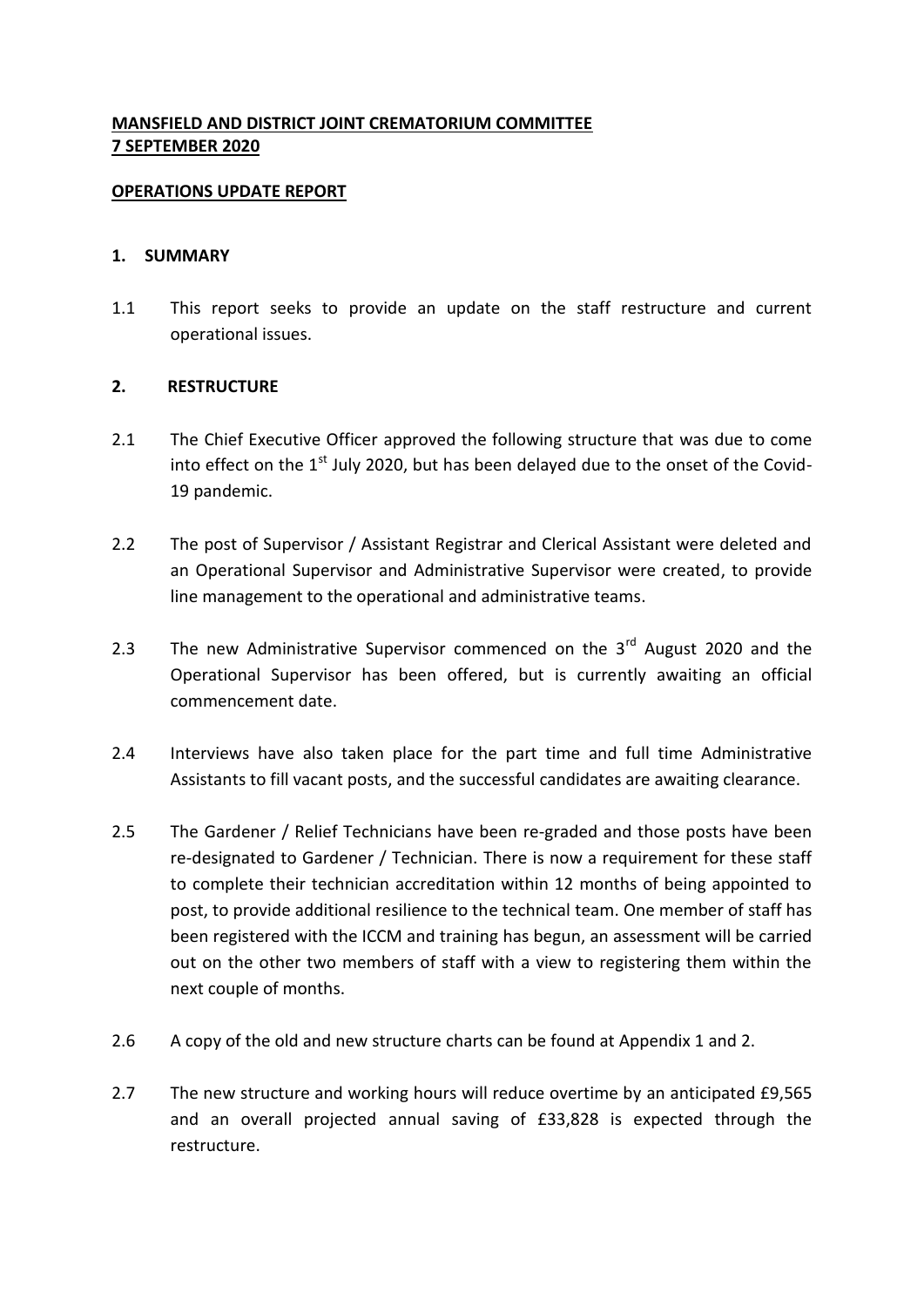# **MANSFIELD AND DISTRICT JOINT CREMATORIUM COMMITTEE 7 SEPTEMBER 2020**

#### **OPERATIONS UPDATE REPORT**

#### **1. SUMMARY**

1.1 This report seeks to provide an update on the staff restructure and current operational issues.

### **2. RESTRUCTURE**

- 2.1 The Chief Executive Officer approved the following structure that was due to come into effect on the  $1<sup>st</sup>$  July 2020, but has been delayed due to the onset of the Covid-19 pandemic.
- 2.2 The post of Supervisor / Assistant Registrar and Clerical Assistant were deleted and an Operational Supervisor and Administrative Supervisor were created, to provide line management to the operational and administrative teams.
- 2.3 The new Administrative Supervisor commenced on the  $3<sup>rd</sup>$  August 2020 and the Operational Supervisor has been offered, but is currently awaiting an official commencement date.
- 2.4 Interviews have also taken place for the part time and full time Administrative Assistants to fill vacant posts, and the successful candidates are awaiting clearance.
- 2.5 The Gardener / Relief Technicians have been re-graded and those posts have been re-designated to Gardener / Technician. There is now a requirement for these staff to complete their technician accreditation within 12 months of being appointed to post, to provide additional resilience to the technical team. One member of staff has been registered with the ICCM and training has begun, an assessment will be carried out on the other two members of staff with a view to registering them within the next couple of months.
- 2.6 A copy of the old and new structure charts can be found at Appendix 1 and 2.
- 2.7 The new structure and working hours will reduce overtime by an anticipated £9,565 and an overall projected annual saving of £33,828 is expected through the restructure.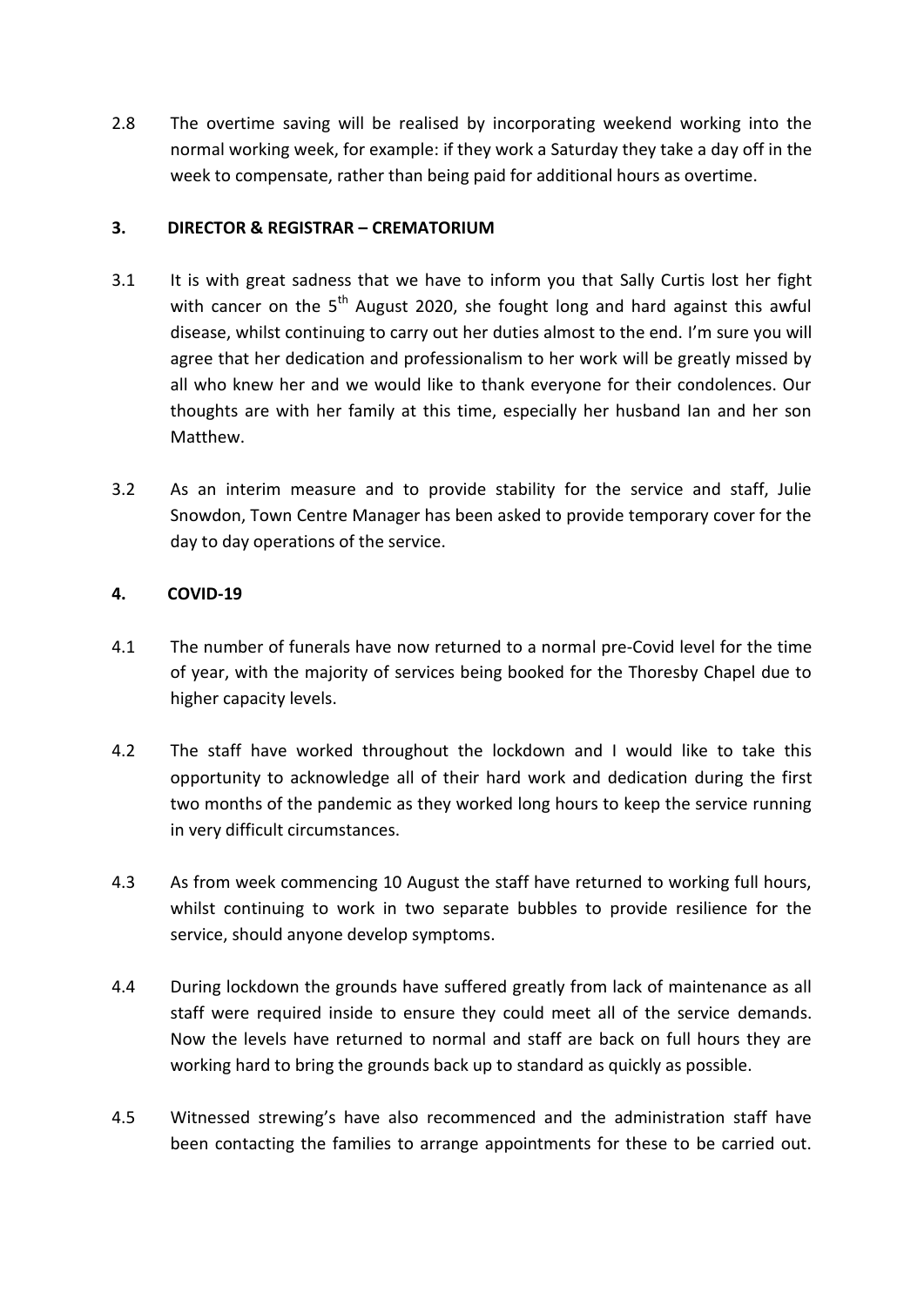2.8 The overtime saving will be realised by incorporating weekend working into the normal working week, for example: if they work a Saturday they take a day off in the week to compensate, rather than being paid for additional hours as overtime.

## **3. DIRECTOR & REGISTRAR – CREMATORIUM**

- 3.1 It is with great sadness that we have to inform you that Sally Curtis lost her fight with cancer on the  $5<sup>th</sup>$  August 2020, she fought long and hard against this awful disease, whilst continuing to carry out her duties almost to the end. I'm sure you will agree that her dedication and professionalism to her work will be greatly missed by all who knew her and we would like to thank everyone for their condolences. Our thoughts are with her family at this time, especially her husband Ian and her son Matthew.
- 3.2 As an interim measure and to provide stability for the service and staff, Julie Snowdon, Town Centre Manager has been asked to provide temporary cover for the day to day operations of the service.

## **4. COVID-19**

- 4.1 The number of funerals have now returned to a normal pre-Covid level for the time of year, with the majority of services being booked for the Thoresby Chapel due to higher capacity levels.
- 4.2 The staff have worked throughout the lockdown and I would like to take this opportunity to acknowledge all of their hard work and dedication during the first two months of the pandemic as they worked long hours to keep the service running in very difficult circumstances.
- 4.3 As from week commencing 10 August the staff have returned to working full hours, whilst continuing to work in two separate bubbles to provide resilience for the service, should anyone develop symptoms.
- 4.4 During lockdown the grounds have suffered greatly from lack of maintenance as all staff were required inside to ensure they could meet all of the service demands. Now the levels have returned to normal and staff are back on full hours they are working hard to bring the grounds back up to standard as quickly as possible.
- 4.5 Witnessed strewing's have also recommenced and the administration staff have been contacting the families to arrange appointments for these to be carried out.